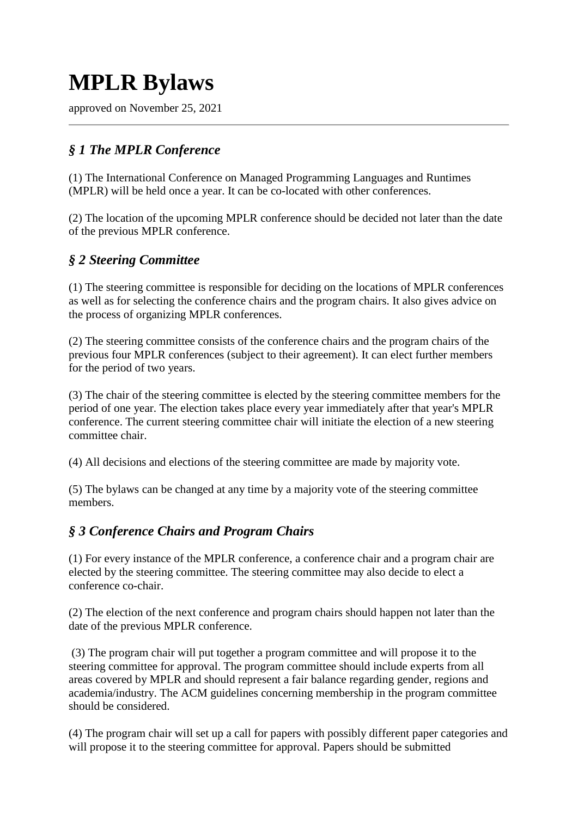## **MPLR Bylaws**

approved on November 25, 2021

## *§ 1 The MPLR Conference*

(1) The International Conference on Managed Programming Languages and Runtimes (MPLR) will be held once a year. It can be co-located with other conferences.

(2) The location of the upcoming MPLR conference should be decided not later than the date of the previous MPLR conference.

## *§ 2 Steering Committee*

(1) The steering committee is responsible for deciding on the locations of MPLR conferences as well as for selecting the conference chairs and the program chairs. It also gives advice on the process of organizing MPLR conferences.

(2) The steering committee consists of the conference chairs and the program chairs of the previous four MPLR conferences (subject to their agreement). It can elect further members for the period of two years.

(3) The chair of the steering committee is elected by the steering committee members for the period of one year. The election takes place every year immediately after that year's MPLR conference. The current steering committee chair will initiate the election of a new steering committee chair.

(4) All decisions and elections of the steering committee are made by majority vote.

(5) The bylaws can be changed at any time by a majority vote of the steering committee members.

## *§ 3 Conference Chairs and Program Chairs*

(1) For every instance of the MPLR conference, a conference chair and a program chair are elected by the steering committee. The steering committee may also decide to elect a conference co-chair.

(2) The election of the next conference and program chairs should happen not later than the date of the previous MPLR conference.

(3) The program chair will put together a program committee and will propose it to the steering committee for approval. The program committee should include experts from all areas covered by MPLR and should represent a fair balance regarding gender, regions and academia/industry. The ACM guidelines concerning membership in the program committee should be considered.

(4) The program chair will set up a call for papers with possibly different paper categories and will propose it to the steering committee for approval. Papers should be submitted